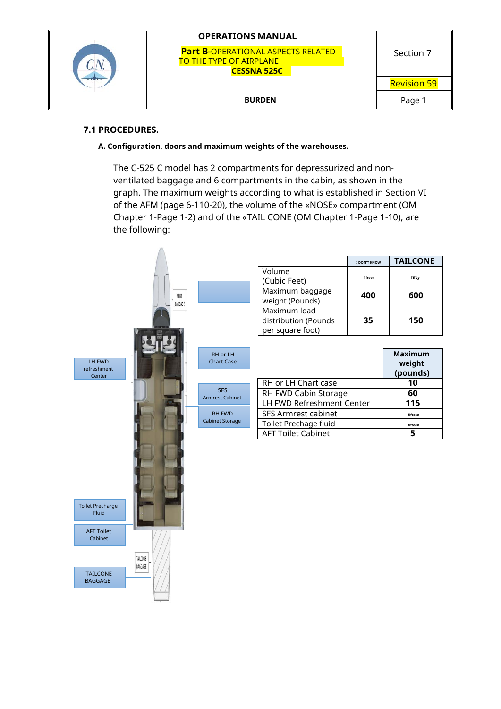

## **7.1 PROCEDURES.**

**A. Configuration, doors and maximum weights of the warehouses.**

The C-525 C model has 2 compartments for depressurized and nonventilated baggage and 6 compartments in the cabin, as shown in the graph. The maximum weights according to what is established in Section VI of the AFM (page 6-110-20), the volume of the «NOSE» compartment (OM Chapter 1-Page 1-2) and of the «TAIL CONE (OM Chapter 1-Page 1-10), are the following:

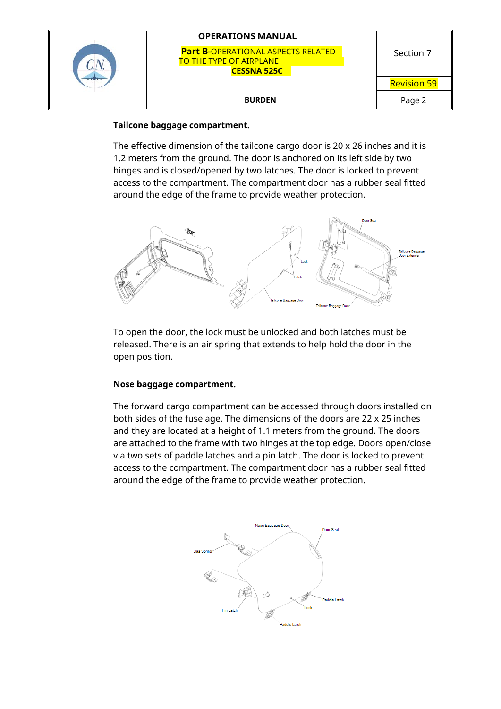|  | <b>OPERATIONS MANUAL</b>                                                                          |                    |
|--|---------------------------------------------------------------------------------------------------|--------------------|
|  | <b>Part B-OPERATIONAL ASPECTS RELATED</b><br><b>TO THE TYPE OF AIRPLANE</b><br><b>CESSNA 525C</b> | Section 7          |
|  |                                                                                                   | <b>Revision 59</b> |
|  | <b>BURDEN</b>                                                                                     | Page 2             |

### **Tailcone baggage compartment.**

The effective dimension of the tailcone cargo door is 20 x 26 inches and it is 1.2 meters from the ground. The door is anchored on its left side by two hinges and is closed/opened by two latches. The door is locked to prevent access to the compartment. The compartment door has a rubber seal fitted around the edge of the frame to provide weather protection.



To open the door, the lock must be unlocked and both latches must be released. There is an air spring that extends to help hold the door in the open position.

## **Nose baggage compartment.**

The forward cargo compartment can be accessed through doors installed on both sides of the fuselage. The dimensions of the doors are 22 x 25 inches and they are located at a height of 1.1 meters from the ground. The doors are attached to the frame with two hinges at the top edge. Doors open/close via two sets of paddle latches and a pin latch. The door is locked to prevent access to the compartment. The compartment door has a rubber seal fitted around the edge of the frame to provide weather protection.

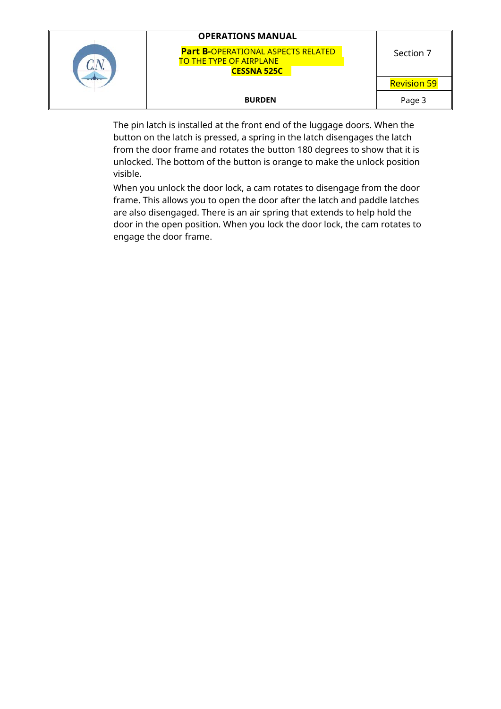|  | <b>OPERATIONS MANUAL</b>                                                                          |                    |
|--|---------------------------------------------------------------------------------------------------|--------------------|
|  | <b>Part B-OPERATIONAL ASPECTS RELATED</b><br><b>TO THE TYPE OF AIRPLANE</b><br><b>CESSNA 525C</b> | Section 7          |
|  |                                                                                                   | <b>Revision 59</b> |
|  | <b>BURDEN</b>                                                                                     | Page 3             |

The pin latch is installed at the front end of the luggage doors. When the button on the latch is pressed, a spring in the latch disengages the latch from the door frame and rotates the button 180 degrees to show that it is unlocked. The bottom of the button is orange to make the unlock position visible.

When you unlock the door lock, a cam rotates to disengage from the door frame. This allows you to open the door after the latch and paddle latches are also disengaged. There is an air spring that extends to help hold the door in the open position. When you lock the door lock, the cam rotates to engage the door frame.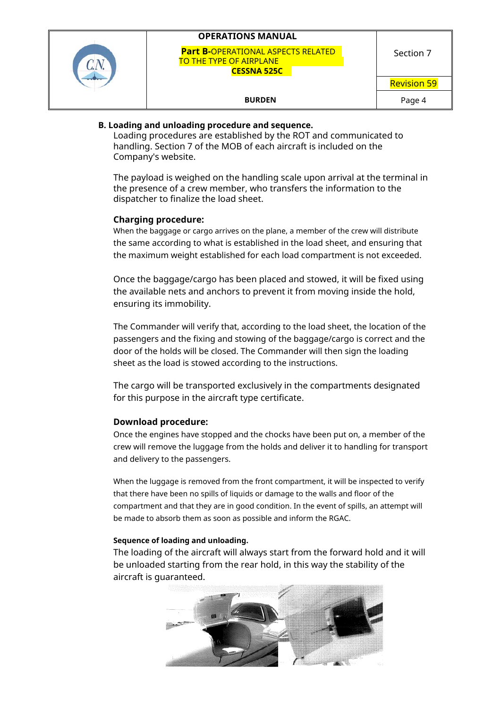| <b>OPERATIONS MANUAL</b>                                                                          |                    |
|---------------------------------------------------------------------------------------------------|--------------------|
| <b>Part B-OPERATIONAL ASPECTS RELATED</b><br><b>TO THE TYPE OF AIRPLANE</b><br><b>CESSNA 525C</b> | Section 7          |
|                                                                                                   | <b>Revision 59</b> |
| <b>BURDEN</b>                                                                                     | Page 4             |

## **B. Loading and unloading procedure and sequence.**

Loading procedures are established by the ROT and communicated to handling. Section 7 of the MOB of each aircraft is included on the Company's website.

The payload is weighed on the handling scale upon arrival at the terminal in the presence of a crew member, who transfers the information to the dispatcher to finalize the load sheet.

#### **Charging procedure:**

When the baggage or cargo arrives on the plane, a member of the crew will distribute the same according to what is established in the load sheet, and ensuring that the maximum weight established for each load compartment is not exceeded.

Once the baggage/cargo has been placed and stowed, it will be fixed using the available nets and anchors to prevent it from moving inside the hold, ensuring its immobility.

The Commander will verify that, according to the load sheet, the location of the passengers and the fixing and stowing of the baggage/cargo is correct and the door of the holds will be closed. The Commander will then sign the loading sheet as the load is stowed according to the instructions.

The cargo will be transported exclusively in the compartments designated for this purpose in the aircraft type certificate.

#### **Download procedure:**

Once the engines have stopped and the chocks have been put on, a member of the crew will remove the luggage from the holds and deliver it to handling for transport and delivery to the passengers.

When the luggage is removed from the front compartment, it will be inspected to verify that there have been no spills of liquids or damage to the walls and floor of the compartment and that they are in good condition. In the event of spills, an attempt will be made to absorb them as soon as possible and inform the RGAC.

#### **Sequence of loading and unloading.**

The loading of the aircraft will always start from the forward hold and it will be unloaded starting from the rear hold, in this way the stability of the aircraft is guaranteed.

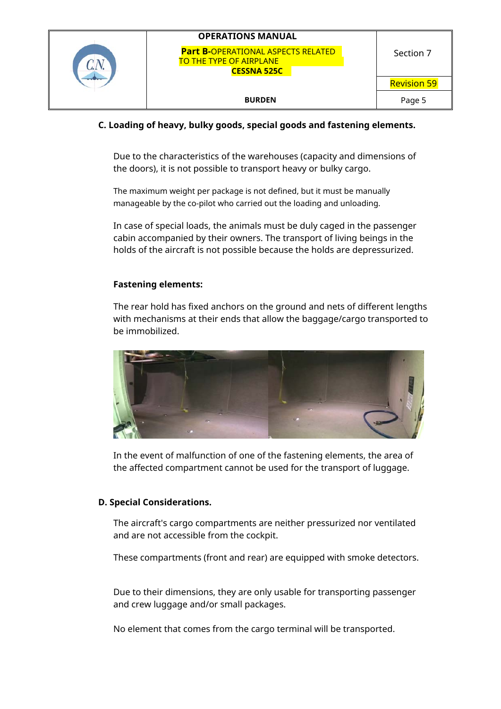| <b>OPERATIONS MANUAL</b>                                                                          |                    |
|---------------------------------------------------------------------------------------------------|--------------------|
| <b>Part B-OPERATIONAL ASPECTS RELATED</b><br><b>TO THE TYPE OF AIRPLANE</b><br><b>CESSNA 525C</b> | Section 7          |
|                                                                                                   | <b>Revision 59</b> |
| <b>BURDEN</b>                                                                                     | Page 5             |

## **C. Loading of heavy, bulky goods, special goods and fastening elements.**

Due to the characteristics of the warehouses (capacity and dimensions of the doors), it is not possible to transport heavy or bulky cargo.

The maximum weight per package is not defined, but it must be manually manageable by the co-pilot who carried out the loading and unloading.

In case of special loads, the animals must be duly caged in the passenger cabin accompanied by their owners. The transport of living beings in the holds of the aircraft is not possible because the holds are depressurized.

#### **Fastening elements:**

The rear hold has fixed anchors on the ground and nets of different lengths with mechanisms at their ends that allow the baggage/cargo transported to be immobilized.



In the event of malfunction of one of the fastening elements, the area of the affected compartment cannot be used for the transport of luggage.

## **D. Special Considerations.**

The aircraft's cargo compartments are neither pressurized nor ventilated and are not accessible from the cockpit.

These compartments (front and rear) are equipped with smoke detectors.

Due to their dimensions, they are only usable for transporting passenger and crew luggage and/or small packages.

No element that comes from the cargo terminal will be transported.